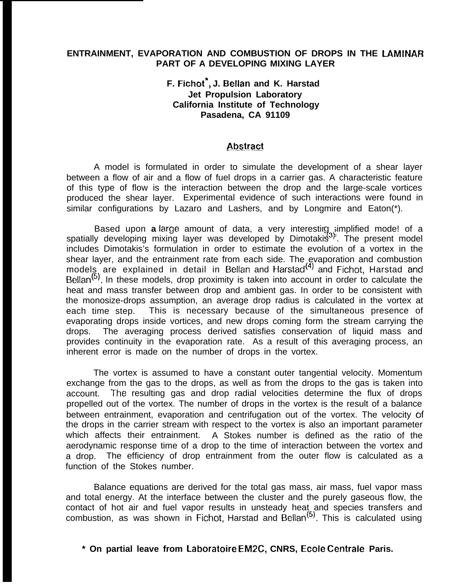## **ENTRAINMENT, EVAPORATION AND COMBUSTION OF DROPS IN THE LAMINAR PART OF A DEVELOPING MIXING LAYER**

# **F. Fichot\*, J. Bellan and K. Harstad Jet Propulsion Laboratory California Institute of Technology Pasadena, CA 91109**

#### **Abstract**

A model is formulated in order to simulate the development of a shear layer between a flow of air and a flow of fuel drops in a carrier gas. A characteristic feature of this type of flow is the interaction between the drop and the large-scale vortices produced the shear layer. Experimental evidence of such interactions were found in similar configurations by Lazaro and Lashers, and by Longmire and Eaton(\*).

Based upon **a** large amount of data, a very interestirg simplified mode! of a Based upon **a** large amount of data, a very interestirg simplified mode! of a<br>spatially developing mixing layer was developed by Dimotakis<sup>3)</sup>. The present model includes Dimotakis's formulation in order to estimate the evolution of a vortex in the shear layer, and the entrainment rate from each side. The evaporation and combustion models are explained in detail in Bellan and Harstad<sup>(4)</sup> and Fichot, Harstad and Bellan<sup>(5)</sup>. In these models, drop proximity is taken into account in order to calculate the heat and mass transfer between drop and ambient gas. In order to be consistent with the monosize-drops assumption, an average drop radius is calculated in the vortex at each time step. This is necessary because of the simultaneous presence of evaporating drops inside vortices, and new drops coming form the stream carrying the drops. The averaging process derived satisfies conservation of liquid mass and provides continuity in the evaporation rate. As a result of this averaging process, an inherent error is made on the number of drops in the vortex.

The vortex is assumed to have a constant outer tangential velocity. Momentum exchange from the gas to the drops, as well as from the drops to the gas is taken into account. The resulting gas and drop radial velocities determine the flux of drops propelled out of the vortex. The number of drops in the vortex is the result of a balance between entrainment, evaporation and centrifugation out of the vortex. The velocity of the drops in the carrier stream with respect to the vortex is also an important parameter which affects their entrainment. A Stokes number is defined as the ratio of the aerodynamic response time of a drop to the time of interaction between the vortex and a drop. The efficiency of drop entrainment from the outer flow is calculated as a function of the Stokes number.

Balance equations are derived for the total gas mass, air mass, fuel vapor mass and total energy. At the interface between the cluster and the purely gaseous flow, the contact of hot air and fuel vapor results in unsteady heat and species transfers and combustion, as was shown in Fichot, Harstad and Bellan<sup>to)</sup>. This is calculated using

## **\* On partial leave from Laboratoire EM2C, CNRS, Ecole Centrale Paris.**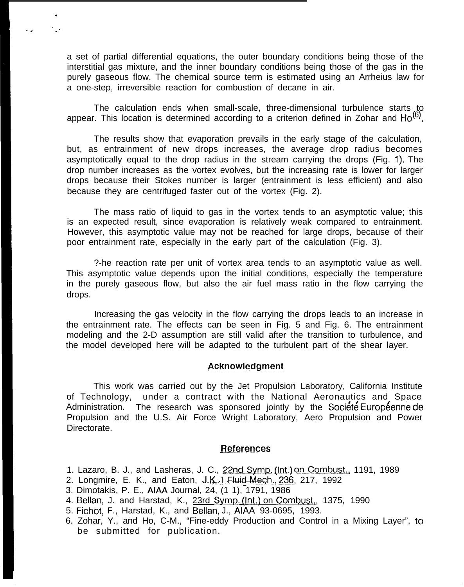a set of partial differential equations, the outer boundary conditions being those of the interstitial gas mixture, and the inner boundary conditions being those of the gas in the purely gaseous flow. The chemical source term is estimated using an Arrheius law for a one-step, irreversible reaction for combustion of decane in air.

.

 $\cdot$  ,  $\cdot$  ,  $\cdot$ 

The calculation ends when small-scale, three-dimensional turbulence starts to appear. This location is determined according to a criterion defined in Zohar and  $Ho^{(6)}$ .

The results show that evaporation prevails in the early stage of the calculation, but, as entrainment of new drops increases, the average drop radius becomes asymptotically equal to the drop radius in the stream carrying the drops (Fig. 1). The drop number increases as the vortex evolves, but the increasing rate is lower for larger drops because their Stokes number is larger (entrainment is less efficient) and also because they are centrifuged faster out of the vortex (Fig. 2).

The mass ratio of liquid to gas in the vortex tends to an asymptotic value; this is an expected result, since evaporation is relatively weak compared to entrainment. However, this asymptotic value may not be reached for large drops, because of their poor entrainment rate, especially in the early part of the calculation (Fig. 3).

?-he reaction rate per unit of vortex area tends to an asymptotic value as well. This asymptotic value depends upon the initial conditions, especially the temperature in the purely gaseous flow, but also the air fuel mass ratio in the flow carrying the drops.

Increasing the gas velocity in the flow carrying the drops leads to an increase in the entrainment rate. The effects can be seen in Fig. 5 and Fig. 6. The entrainment modeling and the 2-D assumption are still valid after the transition to turbulence, and the model developed here will be adapted to the turbulent part of the shear layer.

## **Acknowledgment**

This work was carried out by the Jet Propulsion Laboratory, California Institute of Technology, under a contract with the National Aeronautics and Space Administration. The research was sponsored jointly by the Societe Europeenne de Propulsion and the U.S. Air Force Wright Laboratory, Aero Propulsion and Power Directorate.

#### **~~f.ere.n.ces**

- 1. Lazaro, B. J., and Lasheras, J. C., 22nd Symp. (Int.) on Combust., 1191, 1989
- 2. Longmire, E. K., and Eaton, J.K. Fluid Mech., 236, 217, 1992
- 3. Dimotakis, P. E., AIAA Journal, 24, (1 1), 1791, 1986
- 4. Bellan, J. and Harstad, K., 23rd Symp. (Int.) on Combust., 1375, 1990
- 5. Fichot, F., Harstad, K., and Bellan, J., AIAA 93-0695, 1993.
- 6. Zohar, Y., and Ho, C-M., "Fine-eddy Production and Control in a Mixing Layer", to be submitted for publication.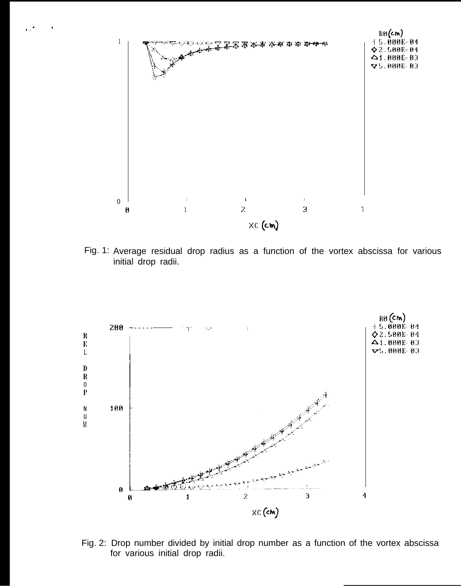

Fig. 1: Average residual drop radius as a function of the vortex abscissa for various initial drop radii.



Fig. 2: Drop number divided by initial drop number as a function of the vortex abscissa for various initial drop radii.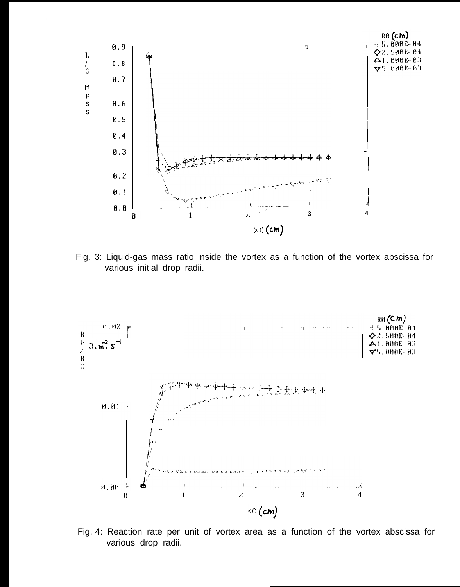

Fig. 3: Liquid-gas mass ratio inside the vortex as a function of the vortex abscissa for various initial drop radii.



Fig. 4: Reaction rate per unit of vortex area as a function of the vortex abscissa for various drop radii.